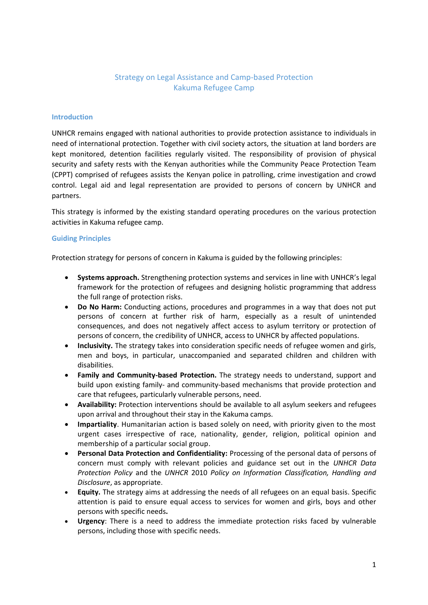# Strategy on Legal Assistance and Camp-based Protection Kakuma Refugee Camp

#### **Introduction**

UNHCR remains engaged with national authorities to provide protection assistance to individuals in need of international protection. Together with civil society actors, the situation at land borders are kept monitored, detention facilities regularly visited. The responsibility of provision of physical security and safety rests with the Kenyan authorities while the Community Peace Protection Team (CPPT) comprised of refugees assists the Kenyan police in patrolling, crime investigation and crowd control. Legal aid and legal representation are provided to persons of concern by UNHCR and partners.

This strategy is informed by the existing standard operating procedures on the various protection activities in Kakuma refugee camp.

#### **Guiding Principles**

Protection strategy for persons of concern in Kakuma is guided by the following principles:

- **Systems approach.** Strengthening protection systems and services in line with UNHCR's legal framework for the protection of refugees and designing holistic programming that address the full range of protection risks.
- **Do No Harm:** Conducting actions, procedures and programmes in a way that does not put persons of concern at further risk of harm, especially as a result of unintended consequences, and does not negatively affect access to asylum territory or protection of persons of concern, the credibility of UNHCR, access to UNHCR by affected populations.
- **Inclusivity.** The strategy takes into consideration specific needs of refugee women and girls, men and boys, in particular, unaccompanied and separated children and children with disabilities.
- **Family and Community-based Protection.** The strategy needs to understand, support and build upon existing family- and community-based mechanisms that provide protection and care that refugees, particularly vulnerable persons, need.
- **Availability:** Protection interventions should be available to all asylum seekers and refugees upon arrival and throughout their stay in the Kakuma camps.
- **Impartiality**. Humanitarian action is based solely on need, with priority given to the most urgent cases irrespective of race, nationality, gender, religion, political opinion and membership of a particular social group.
- **Personal Data Protection and Confidentiality:** Processing of the personal data of persons of concern must comply with relevant policies and guidance set out in the *UNHCR Data Protection Policy* and the *UNHCR* 2010 *Policy on Information Classification, Handling and Disclosure*, as appropriate.
- **Equity.** The strategy aims at addressing the needs of all refugees on an equal basis. Specific attention is paid to ensure equal access to services for women and girls, boys and other persons with specific needs**.**
- **Urgency**: There is a need to address the immediate protection risks faced by vulnerable persons, including those with specific needs.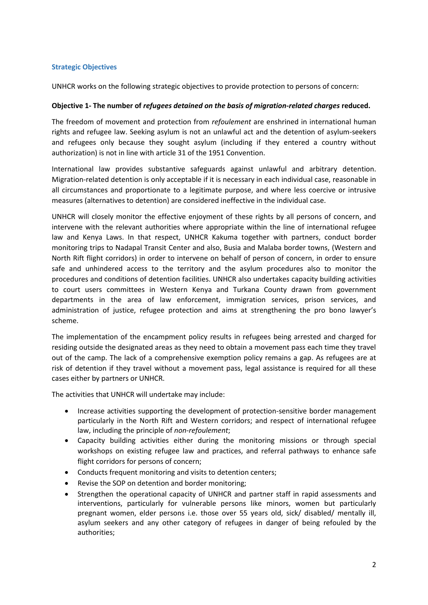### **Strategic Objectives**

UNHCR works on the following strategic objectives to provide protection to persons of concern:

### **Objective 1- The number of** *refugees detained on the basis of migration-related charges* **reduced.**

The freedom of movement and protection from *refoulement* are enshrined in international human rights and refugee law. Seeking asylum is not an unlawful act and the detention of asylum-seekers and refugees only because they sought asylum (including if they entered a country without authorization) is not in line with article 31 of the 1951 Convention.

International law provides substantive safeguards against unlawful and arbitrary detention. Migration-related detention is only acceptable if it is necessary in each individual case, reasonable in all circumstances and proportionate to a legitimate purpose, and where less coercive or intrusive measures (alternatives to detention) are considered ineffective in the individual case.

UNHCR will closely monitor the effective enjoyment of these rights by all persons of concern, and intervene with the relevant authorities where appropriate within the line of international refugee law and Kenya Laws. In that respect, UNHCR Kakuma together with partners, conduct border monitoring trips to Nadapal Transit Center and also, Busia and Malaba border towns, (Western and North Rift flight corridors) in order to intervene on behalf of person of concern, in order to ensure safe and unhindered access to the territory and the asylum procedures also to monitor the procedures and conditions of detention facilities. UNHCR also undertakes capacity building activities to court users committees in Western Kenya and Turkana County drawn from government departments in the area of law enforcement, immigration services, prison services, and administration of justice, refugee protection and aims at strengthening the pro bono lawyer's scheme.

The implementation of the encampment policy results in refugees being arrested and charged for residing outside the designated areas as they need to obtain a movement pass each time they travel out of the camp. The lack of a comprehensive exemption policy remains a gap. As refugees are at risk of detention if they travel without a movement pass, legal assistance is required for all these cases either by partners or UNHCR.

The activities that UNHCR will undertake may include:

- Increase activities supporting the development of protection-sensitive border management particularly in the North Rift and Western corridors; and respect of international refugee law, including the principle of *non-refoulement*;
- Capacity building activities either during the monitoring missions or through special workshops on existing refugee law and practices, and referral pathways to enhance safe flight corridors for persons of concern;
- Conducts frequent monitoring and visits to detention centers;
- Revise the SOP on detention and border monitoring;
- Strengthen the operational capacity of UNHCR and partner staff in rapid assessments and interventions, particularly for vulnerable persons like minors, women but particularly pregnant women, elder persons i.e. those over 55 years old, sick/ disabled/ mentally ill, asylum seekers and any other category of refugees in danger of being refouled by the authorities;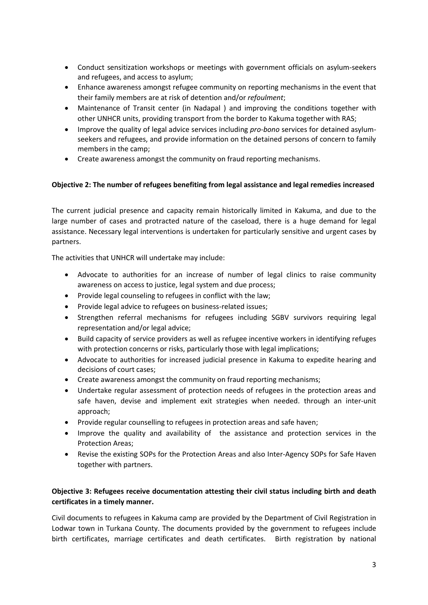- Conduct sensitization workshops or meetings with government officials on asylum-seekers and refugees, and access to asylum;
- Enhance awareness amongst refugee community on reporting mechanisms in the event that their family members are at risk of detention and/or *refoulment*;
- Maintenance of Transit center (in Nadapal ) and improving the conditions together with other UNHCR units, providing transport from the border to Kakuma together with RAS;
- Improve the quality of legal advice services including *pro-bono* services for detained asylumseekers and refugees, and provide information on the detained persons of concern to family members in the camp;
- Create awareness amongst the community on fraud reporting mechanisms.

# **Objective 2: The number of refugees benefiting from legal assistance and legal remedies increased**

The current judicial presence and capacity remain historically limited in Kakuma, and due to the large number of cases and protracted nature of the caseload, there is a huge demand for legal assistance. Necessary legal interventions is undertaken for particularly sensitive and urgent cases by partners.

The activities that UNHCR will undertake may include:

- Advocate to authorities for an increase of number of legal clinics to raise community awareness on access to justice, legal system and due process;
- Provide legal counseling to refugees in conflict with the law;
- Provide legal advice to refugees on business-related issues;
- Strengthen referral mechanisms for refugees including SGBV survivors requiring legal representation and/or legal advice;
- Build capacity of service providers as well as refugee incentive workers in identifying refuges with protection concerns or risks, particularly those with legal implications;
- Advocate to authorities for increased judicial presence in Kakuma to expedite hearing and decisions of court cases;
- Create awareness amongst the community on fraud reporting mechanisms;
- Undertake regular assessment of protection needs of refugees in the protection areas and safe haven, devise and implement exit strategies when needed. through an inter-unit approach;
- Provide regular counselling to refugees in protection areas and safe haven;
- Improve the quality and availability of the assistance and protection services in the Protection Areas;
- Revise the existing SOPs for the Protection Areas and also Inter-Agency SOPs for Safe Haven together with partners.

# **Objective 3: Refugees receive documentation attesting their civil status including birth and death certificates in a timely manner.**

Civil documents to refugees in Kakuma camp are provided by the Department of Civil Registration in Lodwar town in Turkana County. The documents provided by the government to refugees include birth certificates, marriage certificates and death certificates. Birth registration by national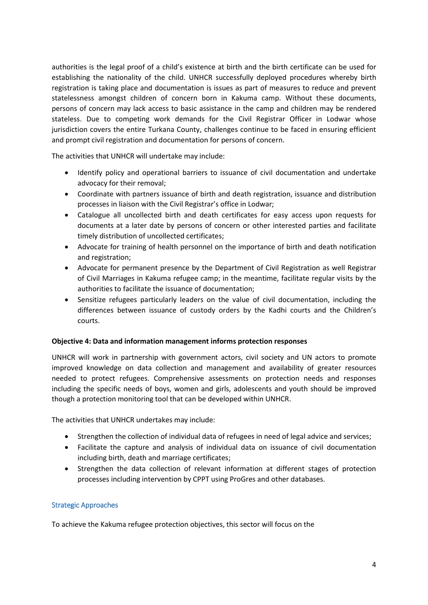authorities is the legal proof of a child's existence at birth and the birth certificate can be used for establishing the nationality of the child. UNHCR successfully deployed procedures whereby birth registration is taking place and documentation is issues as part of measures to reduce and prevent statelessness amongst children of concern born in Kakuma camp. Without these documents, persons of concern may lack access to basic assistance in the camp and children may be rendered stateless. Due to competing work demands for the Civil Registrar Officer in Lodwar whose jurisdiction covers the entire Turkana County, challenges continue to be faced in ensuring efficient and prompt civil registration and documentation for persons of concern.

The activities that UNHCR will undertake may include:

- Identify policy and operational barriers to issuance of civil documentation and undertake advocacy for their removal;
- Coordinate with partners issuance of birth and death registration, issuance and distribution processes in liaison with the Civil Registrar's office in Lodwar;
- Catalogue all uncollected birth and death certificates for easy access upon requests for documents at a later date by persons of concern or other interested parties and facilitate timely distribution of uncollected certificates;
- Advocate for training of health personnel on the importance of birth and death notification and registration;
- Advocate for permanent presence by the Department of Civil Registration as well Registrar of Civil Marriages in Kakuma refugee camp; in the meantime, facilitate regular visits by the authorities to facilitate the issuance of documentation;
- Sensitize refugees particularly leaders on the value of civil documentation, including the differences between issuance of custody orders by the Kadhi courts and the Children's courts.

## **Objective 4: Data and information management informs protection responses**

UNHCR will work in partnership with government actors, civil society and UN actors to promote improved knowledge on data collection and management and availability of greater resources needed to protect refugees. Comprehensive assessments on protection needs and responses including the specific needs of boys, women and girls, adolescents and youth should be improved though a protection monitoring tool that can be developed within UNHCR.

The activities that UNHCR undertakes may include:

- Strengthen the collection of individual data of refugees in need of legal advice and services;
- Facilitate the capture and analysis of individual data on issuance of civil documentation including birth, death and marriage certificates;
- Strengthen the data collection of relevant information at different stages of protection processes including intervention by CPPT using ProGres and other databases.

## Strategic Approaches

To achieve the Kakuma refugee protection objectives, this sector will focus on the